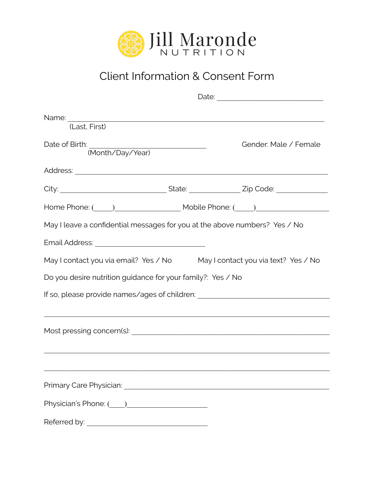

## Client Information & Consent Form

| Name: Name: Name: Name: Name: Name: Name: Name: Name: Name: Name: Name: Name: Name: Name: Name: Name: Name: Name: Name: Name: Name: Name: Name: Name: Name: Name: Name: Name: Name: Name: Name: Name: Name: Name: Name: Name:<br>(Last, First) |  |  |                       |
|------------------------------------------------------------------------------------------------------------------------------------------------------------------------------------------------------------------------------------------------|--|--|-----------------------|
| Date of Birth: (Month/Day/Year)                                                                                                                                                                                                                |  |  | Gender: Male / Female |
|                                                                                                                                                                                                                                                |  |  |                       |
|                                                                                                                                                                                                                                                |  |  |                       |
|                                                                                                                                                                                                                                                |  |  |                       |
| May I leave a confidential messages for you at the above numbers? Yes / No                                                                                                                                                                     |  |  |                       |
|                                                                                                                                                                                                                                                |  |  |                       |
| May I contact you via email? Yes / No May I contact you via text? Yes / No                                                                                                                                                                     |  |  |                       |
| Do you desire nutrition guidance for your family?: Yes / No                                                                                                                                                                                    |  |  |                       |
| If so, please provide names/ages of children: __________________________________                                                                                                                                                               |  |  |                       |
|                                                                                                                                                                                                                                                |  |  |                       |
|                                                                                                                                                                                                                                                |  |  |                       |
|                                                                                                                                                                                                                                                |  |  |                       |
|                                                                                                                                                                                                                                                |  |  |                       |
| Referred by: Note that the state of the state of the state of the state of the state of the state of the state of the state of the state of the state of the state of the state of the state of the state of the state of the                  |  |  |                       |